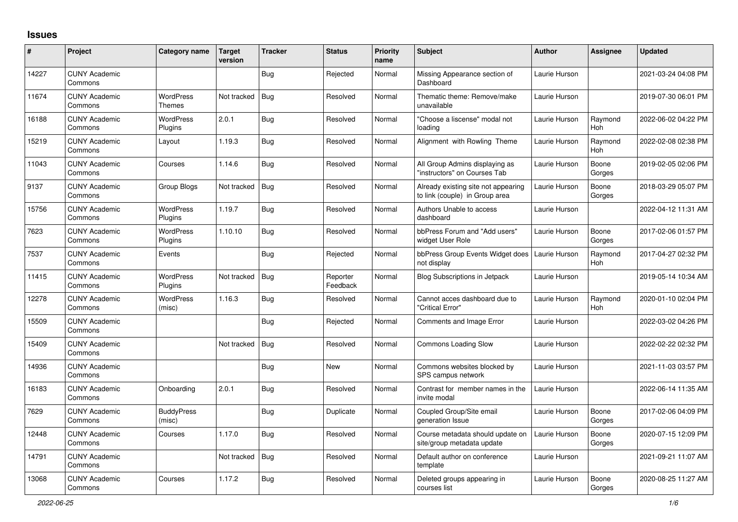## **Issues**

| #     | Project                         | Category name               | Target<br>version | <b>Tracker</b> | <b>Status</b>        | <b>Priority</b><br>name | <b>Subject</b>                                                        | <b>Author</b> | <b>Assignee</b>       | <b>Updated</b>      |
|-------|---------------------------------|-----------------------------|-------------------|----------------|----------------------|-------------------------|-----------------------------------------------------------------------|---------------|-----------------------|---------------------|
| 14227 | <b>CUNY Academic</b><br>Commons |                             |                   | Bug            | Rejected             | Normal                  | Missing Appearance section of<br>Dashboard                            | Laurie Hurson |                       | 2021-03-24 04:08 PM |
| 11674 | <b>CUNY Academic</b><br>Commons | WordPress<br>Themes         | Not tracked       | Bug            | Resolved             | Normal                  | Thematic theme: Remove/make<br>unavailable                            | Laurie Hurson |                       | 2019-07-30 06:01 PM |
| 16188 | <b>CUNY Academic</b><br>Commons | <b>WordPress</b><br>Plugins | 2.0.1             | Bug            | Resolved             | Normal                  | "Choose a liscense" modal not<br>loading                              | Laurie Hurson | Raymond<br>Hoh        | 2022-06-02 04:22 PM |
| 15219 | <b>CUNY Academic</b><br>Commons | Layout                      | 1.19.3            | <b>Bug</b>     | Resolved             | Normal                  | Alignment with Rowling Theme                                          | Laurie Hurson | Raymond<br><b>Hoh</b> | 2022-02-08 02:38 PM |
| 11043 | <b>CUNY Academic</b><br>Commons | Courses                     | 1.14.6            | <b>Bug</b>     | Resolved             | Normal                  | All Group Admins displaying as<br>"instructors" on Courses Tab        | Laurie Hurson | Boone<br>Gorges       | 2019-02-05 02:06 PM |
| 9137  | <b>CUNY Academic</b><br>Commons | Group Blogs                 | Not tracked       | Bug            | Resolved             | Normal                  | Already existing site not appearing<br>to link (couple) in Group area | Laurie Hurson | Boone<br>Gorges       | 2018-03-29 05:07 PM |
| 15756 | <b>CUNY Academic</b><br>Commons | <b>WordPress</b><br>Plugins | 1.19.7            | <b>Bug</b>     | Resolved             | Normal                  | Authors Unable to access<br>dashboard                                 | Laurie Hurson |                       | 2022-04-12 11:31 AM |
| 7623  | <b>CUNY Academic</b><br>Commons | WordPress<br>Plugins        | 1.10.10           | <b>Bug</b>     | Resolved             | Normal                  | bbPress Forum and "Add users"<br>widget User Role                     | Laurie Hurson | Boone<br>Gorges       | 2017-02-06 01:57 PM |
| 7537  | <b>CUNY Academic</b><br>Commons | Events                      |                   | <b>Bug</b>     | Rejected             | Normal                  | bbPress Group Events Widget does<br>not display                       | Laurie Hurson | Raymond<br><b>Hoh</b> | 2017-04-27 02:32 PM |
| 11415 | <b>CUNY Academic</b><br>Commons | WordPress<br>Plugins        | Not tracked       | Bug            | Reporter<br>Feedback | Normal                  | <b>Blog Subscriptions in Jetpack</b>                                  | Laurie Hurson |                       | 2019-05-14 10:34 AM |
| 12278 | <b>CUNY Academic</b><br>Commons | WordPress<br>(misc)         | 1.16.3            | <b>Bug</b>     | Resolved             | Normal                  | Cannot acces dashboard due to<br>'Critical Error"                     | Laurie Hurson | Raymond<br>Hoh        | 2020-01-10 02:04 PM |
| 15509 | <b>CUNY Academic</b><br>Commons |                             |                   | Bug            | Rejected             | Normal                  | Comments and Image Error                                              | Laurie Hurson |                       | 2022-03-02 04:26 PM |
| 15409 | <b>CUNY Academic</b><br>Commons |                             | Not tracked       | <b>Bug</b>     | Resolved             | Normal                  | Commons Loading Slow                                                  | Laurie Hurson |                       | 2022-02-22 02:32 PM |
| 14936 | <b>CUNY Academic</b><br>Commons |                             |                   | Bug            | <b>New</b>           | Normal                  | Commons websites blocked by<br>SPS campus network                     | Laurie Hurson |                       | 2021-11-03 03:57 PM |
| 16183 | <b>CUNY Academic</b><br>Commons | Onboarding                  | 2.0.1             | <b>Bug</b>     | Resolved             | Normal                  | Contrast for member names in the<br>invite modal                      | Laurie Hurson |                       | 2022-06-14 11:35 AM |
| 7629  | <b>CUNY Academic</b><br>Commons | <b>BuddyPress</b><br>(misc) |                   | Bug            | Duplicate            | Normal                  | Coupled Group/Site email<br>generation Issue                          | Laurie Hurson | Boone<br>Gorges       | 2017-02-06 04:09 PM |
| 12448 | <b>CUNY Academic</b><br>Commons | Courses                     | 1.17.0            | Bug            | Resolved             | Normal                  | Course metadata should update on<br>site/group metadata update        | Laurie Hurson | Boone<br>Gorges       | 2020-07-15 12:09 PM |
| 14791 | <b>CUNY Academic</b><br>Commons |                             | Not tracked       | <b>Bug</b>     | Resolved             | Normal                  | Default author on conference<br>template                              | Laurie Hurson |                       | 2021-09-21 11:07 AM |
| 13068 | <b>CUNY Academic</b><br>Commons | Courses                     | 1.17.2            | Bug            | Resolved             | Normal                  | Deleted groups appearing in<br>courses list                           | Laurie Hurson | Boone<br>Gorges       | 2020-08-25 11:27 AM |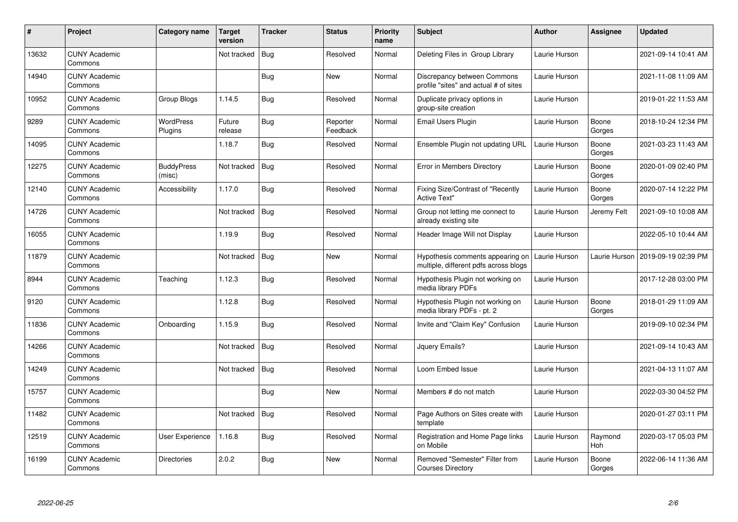| #     | Project                         | Category name               | Target<br>version | <b>Tracker</b> | <b>Status</b>        | <b>Priority</b><br>name | <b>Subject</b>                                                            | <b>Author</b> | <b>Assignee</b> | <b>Updated</b>      |
|-------|---------------------------------|-----------------------------|-------------------|----------------|----------------------|-------------------------|---------------------------------------------------------------------------|---------------|-----------------|---------------------|
| 13632 | <b>CUNY Academic</b><br>Commons |                             | Not tracked       | Bug            | Resolved             | Normal                  | Deleting Files in Group Library                                           | Laurie Hurson |                 | 2021-09-14 10:41 AM |
| 14940 | <b>CUNY Academic</b><br>Commons |                             |                   | Bug            | New                  | Normal                  | Discrepancy between Commons<br>profile "sites" and actual # of sites      | Laurie Hurson |                 | 2021-11-08 11:09 AM |
| 10952 | <b>CUNY Academic</b><br>Commons | Group Blogs                 | 1.14.5            | <b>Bug</b>     | Resolved             | Normal                  | Duplicate privacy options in<br>group-site creation                       | Laurie Hurson |                 | 2019-01-22 11:53 AM |
| 9289  | <b>CUNY Academic</b><br>Commons | <b>WordPress</b><br>Plugins | Future<br>release | <b>Bug</b>     | Reporter<br>Feedback | Normal                  | Email Users Plugin                                                        | Laurie Hurson | Boone<br>Gorges | 2018-10-24 12:34 PM |
| 14095 | <b>CUNY Academic</b><br>Commons |                             | 1.18.7            | <b>Bug</b>     | Resolved             | Normal                  | Ensemble Plugin not updating URL                                          | Laurie Hurson | Boone<br>Gorges | 2021-03-23 11:43 AM |
| 12275 | <b>CUNY Academic</b><br>Commons | <b>BuddyPress</b><br>(misc) | Not tracked       | <b>Bug</b>     | Resolved             | Normal                  | Error in Members Directory                                                | Laurie Hurson | Boone<br>Gorges | 2020-01-09 02:40 PM |
| 12140 | <b>CUNY Academic</b><br>Commons | Accessibility               | 1.17.0            | Bug            | Resolved             | Normal                  | Fixing Size/Contrast of "Recently<br><b>Active Text"</b>                  | Laurie Hurson | Boone<br>Gorges | 2020-07-14 12:22 PM |
| 14726 | <b>CUNY Academic</b><br>Commons |                             | Not tracked       | Bug            | Resolved             | Normal                  | Group not letting me connect to<br>already existing site                  | Laurie Hurson | Jeremy Felt     | 2021-09-10 10:08 AM |
| 16055 | <b>CUNY Academic</b><br>Commons |                             | 1.19.9            | <b>Bug</b>     | Resolved             | Normal                  | Header Image Will not Display                                             | Laurie Hurson |                 | 2022-05-10 10:44 AM |
| 11879 | <b>CUNY Academic</b><br>Commons |                             | Not tracked       | <b>Bug</b>     | <b>New</b>           | Normal                  | Hypothesis comments appearing on<br>multiple, different pdfs across blogs | Laurie Hurson | Laurie Hurson   | 2019-09-19 02:39 PM |
| 8944  | <b>CUNY Academic</b><br>Commons | Teaching                    | 1.12.3            | Bug            | Resolved             | Normal                  | Hypothesis Plugin not working on<br>media library PDFs                    | Laurie Hurson |                 | 2017-12-28 03:00 PM |
| 9120  | <b>CUNY Academic</b><br>Commons |                             | 1.12.8            | Bug            | Resolved             | Normal                  | Hypothesis Plugin not working on<br>media library PDFs - pt. 2            | Laurie Hurson | Boone<br>Gorges | 2018-01-29 11:09 AM |
| 11836 | <b>CUNY Academic</b><br>Commons | Onboarding                  | 1.15.9            | <b>Bug</b>     | Resolved             | Normal                  | Invite and "Claim Key" Confusion                                          | Laurie Hurson |                 | 2019-09-10 02:34 PM |
| 14266 | <b>CUNY Academic</b><br>Commons |                             | Not tracked       | Bug            | Resolved             | Normal                  | Jquery Emails?                                                            | Laurie Hurson |                 | 2021-09-14 10:43 AM |
| 14249 | <b>CUNY Academic</b><br>Commons |                             | Not tracked       | Bug            | Resolved             | Normal                  | Loom Embed Issue                                                          | Laurie Hurson |                 | 2021-04-13 11:07 AM |
| 15757 | <b>CUNY Academic</b><br>Commons |                             |                   | Bug            | <b>New</b>           | Normal                  | Members # do not match                                                    | Laurie Hurson |                 | 2022-03-30 04:52 PM |
| 11482 | <b>CUNY Academic</b><br>Commons |                             | Not tracked       | <b>Bug</b>     | Resolved             | Normal                  | Page Authors on Sites create with<br>template                             | Laurie Hurson |                 | 2020-01-27 03:11 PM |
| 12519 | <b>CUNY Academic</b><br>Commons | <b>User Experience</b>      | 1.16.8            | <b>Bug</b>     | Resolved             | Normal                  | Registration and Home Page links<br>on Mobile                             | Laurie Hurson | Raymond<br>Hoh  | 2020-03-17 05:03 PM |
| 16199 | <b>CUNY Academic</b><br>Commons | <b>Directories</b>          | 2.0.2             | Bug            | <b>New</b>           | Normal                  | Removed "Semester" Filter from<br><b>Courses Directory</b>                | Laurie Hurson | Boone<br>Gorges | 2022-06-14 11:36 AM |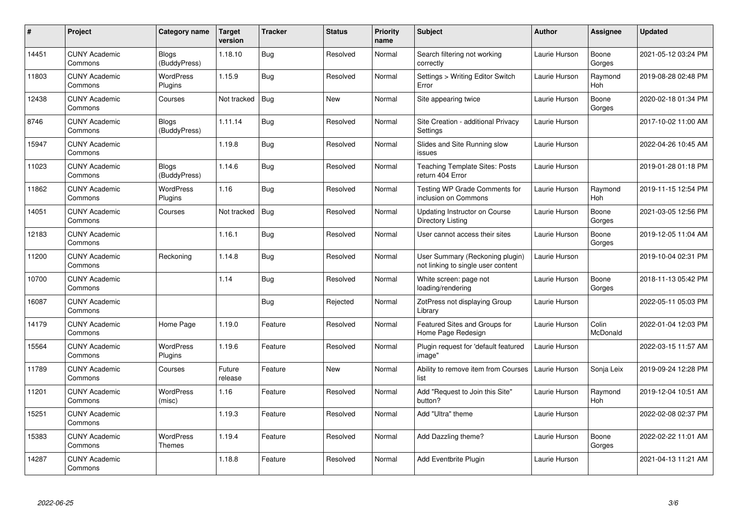| $\pmb{\#}$ | <b>Project</b>                  | Category name                | <b>Target</b><br>version | <b>Tracker</b> | <b>Status</b> | <b>Priority</b><br>name | <b>Subject</b>                                                        | <b>Author</b> | Assignee              | Updated             |
|------------|---------------------------------|------------------------------|--------------------------|----------------|---------------|-------------------------|-----------------------------------------------------------------------|---------------|-----------------------|---------------------|
| 14451      | <b>CUNY Academic</b><br>Commons | <b>Blogs</b><br>(BuddyPress) | 1.18.10                  | <b>Bug</b>     | Resolved      | Normal                  | Search filtering not working<br>correctly                             | Laurie Hurson | Boone<br>Gorges       | 2021-05-12 03:24 PM |
| 11803      | <b>CUNY Academic</b><br>Commons | WordPress<br>Plugins         | 1.15.9                   | Bug            | Resolved      | Normal                  | Settings > Writing Editor Switch<br>Error                             | Laurie Hurson | Raymond<br>Hoh        | 2019-08-28 02:48 PM |
| 12438      | <b>CUNY Academic</b><br>Commons | Courses                      | Not tracked              | <b>Bug</b>     | New           | Normal                  | Site appearing twice                                                  | Laurie Hurson | Boone<br>Gorges       | 2020-02-18 01:34 PM |
| 8746       | <b>CUNY Academic</b><br>Commons | <b>Blogs</b><br>(BuddyPress) | 1.11.14                  | <b>Bug</b>     | Resolved      | Normal                  | Site Creation - additional Privacy<br>Settings                        | Laurie Hurson |                       | 2017-10-02 11:00 AM |
| 15947      | <b>CUNY Academic</b><br>Commons |                              | 1.19.8                   | Bug            | Resolved      | Normal                  | Slides and Site Running slow<br>issues                                | Laurie Hurson |                       | 2022-04-26 10:45 AM |
| 11023      | <b>CUNY Academic</b><br>Commons | <b>Blogs</b><br>(BuddyPress) | 1.14.6                   | <b>Bug</b>     | Resolved      | Normal                  | <b>Teaching Template Sites: Posts</b><br>return 404 Error             | Laurie Hurson |                       | 2019-01-28 01:18 PM |
| 11862      | <b>CUNY Academic</b><br>Commons | <b>WordPress</b><br>Plugins  | 1.16                     | Bug            | Resolved      | Normal                  | Testing WP Grade Comments for<br>inclusion on Commons                 | Laurie Hurson | Raymond<br><b>Hoh</b> | 2019-11-15 12:54 PM |
| 14051      | <b>CUNY Academic</b><br>Commons | Courses                      | Not tracked              | <b>Bug</b>     | Resolved      | Normal                  | Updating Instructor on Course<br>Directory Listing                    | Laurie Hurson | Boone<br>Gorges       | 2021-03-05 12:56 PM |
| 12183      | <b>CUNY Academic</b><br>Commons |                              | 1.16.1                   | Bug            | Resolved      | Normal                  | User cannot access their sites                                        | Laurie Hurson | Boone<br>Gorges       | 2019-12-05 11:04 AM |
| 11200      | <b>CUNY Academic</b><br>Commons | Reckoning                    | 1.14.8                   | Bug            | Resolved      | Normal                  | User Summary (Reckoning plugin)<br>not linking to single user content | Laurie Hurson |                       | 2019-10-04 02:31 PM |
| 10700      | <b>CUNY Academic</b><br>Commons |                              | 1.14                     | Bug            | Resolved      | Normal                  | White screen: page not<br>loading/rendering                           | Laurie Hurson | Boone<br>Gorges       | 2018-11-13 05:42 PM |
| 16087      | <b>CUNY Academic</b><br>Commons |                              |                          | Bug            | Rejected      | Normal                  | ZotPress not displaying Group<br>Library                              | Laurie Hurson |                       | 2022-05-11 05:03 PM |
| 14179      | <b>CUNY Academic</b><br>Commons | Home Page                    | 1.19.0                   | Feature        | Resolved      | Normal                  | Featured Sites and Groups for<br>Home Page Redesign                   | Laurie Hurson | Colin<br>McDonald     | 2022-01-04 12:03 PM |
| 15564      | <b>CUNY Academic</b><br>Commons | <b>WordPress</b><br>Plugins  | 1.19.6                   | Feature        | Resolved      | Normal                  | Plugin request for 'default featured<br>image"                        | Laurie Hurson |                       | 2022-03-15 11:57 AM |
| 11789      | <b>CUNY Academic</b><br>Commons | Courses                      | Future<br>release        | Feature        | New           | Normal                  | Ability to remove item from Courses<br>list                           | Laurie Hurson | Sonja Leix            | 2019-09-24 12:28 PM |
| 11201      | <b>CUNY Academic</b><br>Commons | WordPress<br>(misc)          | 1.16                     | Feature        | Resolved      | Normal                  | Add "Request to Join this Site"<br>button?                            | Laurie Hurson | Raymond<br>Hoh        | 2019-12-04 10:51 AM |
| 15251      | <b>CUNY Academic</b><br>Commons |                              | 1.19.3                   | Feature        | Resolved      | Normal                  | Add "Ultra" theme                                                     | Laurie Hurson |                       | 2022-02-08 02:37 PM |
| 15383      | <b>CUNY Academic</b><br>Commons | WordPress<br>Themes          | 1.19.4                   | Feature        | Resolved      | Normal                  | Add Dazzling theme?                                                   | Laurie Hurson | Boone<br>Gorges       | 2022-02-22 11:01 AM |
| 14287      | <b>CUNY Academic</b><br>Commons |                              | 1.18.8                   | Feature        | Resolved      | Normal                  | Add Eventbrite Plugin                                                 | Laurie Hurson |                       | 2021-04-13 11:21 AM |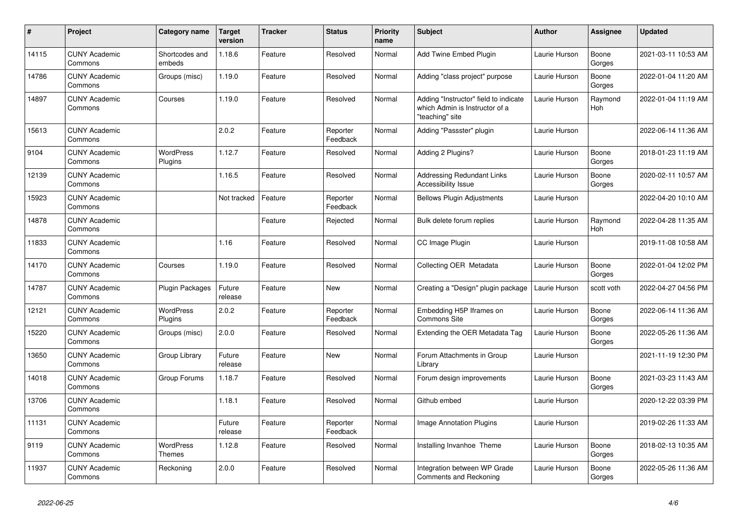| $\pmb{\sharp}$ | Project                         | Category name               | Target<br>version | <b>Tracker</b> | <b>Status</b>        | <b>Priority</b><br>name | <b>Subject</b>                                                                             | <b>Author</b> | <b>Assignee</b> | <b>Updated</b>      |
|----------------|---------------------------------|-----------------------------|-------------------|----------------|----------------------|-------------------------|--------------------------------------------------------------------------------------------|---------------|-----------------|---------------------|
| 14115          | <b>CUNY Academic</b><br>Commons | Shortcodes and<br>embeds    | 1.18.6            | Feature        | Resolved             | Normal                  | Add Twine Embed Plugin                                                                     | Laurie Hurson | Boone<br>Gorges | 2021-03-11 10:53 AM |
| 14786          | <b>CUNY Academic</b><br>Commons | Groups (misc)               | 1.19.0            | Feature        | Resolved             | Normal                  | Adding "class project" purpose                                                             | Laurie Hurson | Boone<br>Gorges | 2022-01-04 11:20 AM |
| 14897          | <b>CUNY Academic</b><br>Commons | Courses                     | 1.19.0            | Feature        | Resolved             | Normal                  | Adding "Instructor" field to indicate<br>which Admin is Instructor of a<br>"teaching" site | Laurie Hurson | Raymond<br>Hoh  | 2022-01-04 11:19 AM |
| 15613          | <b>CUNY Academic</b><br>Commons |                             | 2.0.2             | Feature        | Reporter<br>Feedback | Normal                  | Adding "Passster" plugin                                                                   | Laurie Hurson |                 | 2022-06-14 11:36 AM |
| 9104           | <b>CUNY Academic</b><br>Commons | WordPress<br>Plugins        | 1.12.7            | Feature        | Resolved             | Normal                  | Adding 2 Plugins?                                                                          | Laurie Hurson | Boone<br>Gorges | 2018-01-23 11:19 AM |
| 12139          | <b>CUNY Academic</b><br>Commons |                             | 1.16.5            | Feature        | Resolved             | Normal                  | Addressing Redundant Links<br><b>Accessibility Issue</b>                                   | Laurie Hurson | Boone<br>Gorges | 2020-02-11 10:57 AM |
| 15923          | <b>CUNY Academic</b><br>Commons |                             | Not tracked       | Feature        | Reporter<br>Feedback | Normal                  | <b>Bellows Plugin Adjustments</b>                                                          | Laurie Hurson |                 | 2022-04-20 10:10 AM |
| 14878          | <b>CUNY Academic</b><br>Commons |                             |                   | Feature        | Rejected             | Normal                  | Bulk delete forum replies                                                                  | Laurie Hurson | Raymond<br>Hoh  | 2022-04-28 11:35 AM |
| 11833          | <b>CUNY Academic</b><br>Commons |                             | 1.16              | Feature        | Resolved             | Normal                  | CC Image Plugin                                                                            | Laurie Hurson |                 | 2019-11-08 10:58 AM |
| 14170          | <b>CUNY Academic</b><br>Commons | Courses                     | 1.19.0            | Feature        | Resolved             | Normal                  | Collecting OER Metadata                                                                    | Laurie Hurson | Boone<br>Gorges | 2022-01-04 12:02 PM |
| 14787          | <b>CUNY Academic</b><br>Commons | Plugin Packages             | Future<br>release | Feature        | New                  | Normal                  | Creating a "Design" plugin package                                                         | Laurie Hurson | scott voth      | 2022-04-27 04:56 PM |
| 12121          | <b>CUNY Academic</b><br>Commons | <b>WordPress</b><br>Plugins | 2.0.2             | Feature        | Reporter<br>Feedback | Normal                  | Embedding H5P Iframes on<br><b>Commons Site</b>                                            | Laurie Hurson | Boone<br>Gorges | 2022-06-14 11:36 AM |
| 15220          | <b>CUNY Academic</b><br>Commons | Groups (misc)               | 2.0.0             | Feature        | Resolved             | Normal                  | Extending the OER Metadata Tag                                                             | Laurie Hurson | Boone<br>Gorges | 2022-05-26 11:36 AM |
| 13650          | <b>CUNY Academic</b><br>Commons | Group Library               | Future<br>release | Feature        | New                  | Normal                  | Forum Attachments in Group<br>Library                                                      | Laurie Hurson |                 | 2021-11-19 12:30 PM |
| 14018          | <b>CUNY Academic</b><br>Commons | Group Forums                | 1.18.7            | Feature        | Resolved             | Normal                  | Forum design improvements                                                                  | Laurie Hurson | Boone<br>Gorges | 2021-03-23 11:43 AM |
| 13706          | <b>CUNY Academic</b><br>Commons |                             | 1.18.1            | Feature        | Resolved             | Normal                  | Github embed                                                                               | Laurie Hurson |                 | 2020-12-22 03:39 PM |
| 11131          | <b>CUNY Academic</b><br>Commons |                             | Future<br>release | Feature        | Reporter<br>Feedback | Normal                  | Image Annotation Plugins                                                                   | Laurie Hurson |                 | 2019-02-26 11:33 AM |
| 9119           | <b>CUNY Academic</b><br>Commons | WordPress<br>Themes         | 1.12.8            | Feature        | Resolved             | Normal                  | Installing Invanhoe Theme                                                                  | Laurie Hurson | Boone<br>Gorges | 2018-02-13 10:35 AM |
| 11937          | <b>CUNY Academic</b><br>Commons | Reckoning                   | 2.0.0             | Feature        | Resolved             | Normal                  | Integration between WP Grade<br>Comments and Reckoning                                     | Laurie Hurson | Boone<br>Gorges | 2022-05-26 11:36 AM |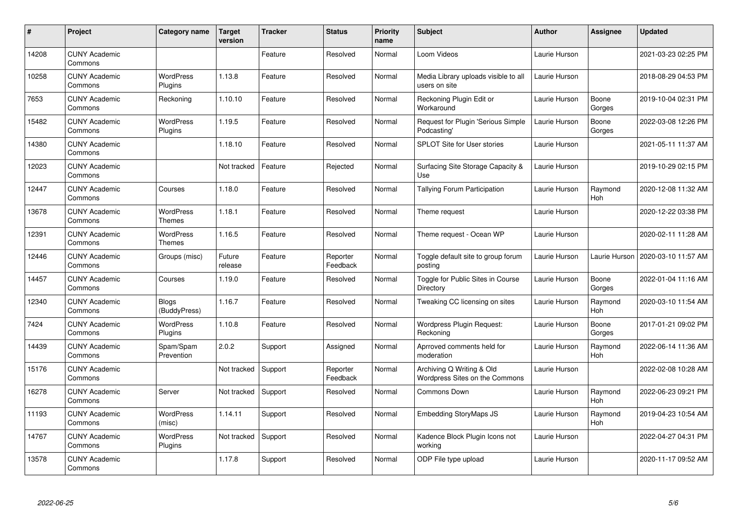| $\pmb{\#}$ | Project                         | Category name                     | Target<br>version | <b>Tracker</b> | <b>Status</b>        | <b>Priority</b><br>name | <b>Subject</b>                                              | <b>Author</b> | <b>Assignee</b>       | <b>Updated</b>      |
|------------|---------------------------------|-----------------------------------|-------------------|----------------|----------------------|-------------------------|-------------------------------------------------------------|---------------|-----------------------|---------------------|
| 14208      | <b>CUNY Academic</b><br>Commons |                                   |                   | Feature        | Resolved             | Normal                  | Loom Videos                                                 | Laurie Hurson |                       | 2021-03-23 02:25 PM |
| 10258      | <b>CUNY Academic</b><br>Commons | <b>WordPress</b><br>Plugins       | 1.13.8            | Feature        | Resolved             | Normal                  | Media Library uploads visible to all<br>users on site       | Laurie Hurson |                       | 2018-08-29 04:53 PM |
| 7653       | <b>CUNY Academic</b><br>Commons | Reckoning                         | 1.10.10           | Feature        | Resolved             | Normal                  | Reckoning Plugin Edit or<br>Workaround                      | Laurie Hurson | Boone<br>Gorges       | 2019-10-04 02:31 PM |
| 15482      | <b>CUNY Academic</b><br>Commons | <b>WordPress</b><br>Plugins       | 1.19.5            | Feature        | Resolved             | Normal                  | Request for Plugin 'Serious Simple<br>Podcasting'           | Laurie Hurson | Boone<br>Gorges       | 2022-03-08 12:26 PM |
| 14380      | <b>CUNY Academic</b><br>Commons |                                   | 1.18.10           | Feature        | Resolved             | Normal                  | <b>SPLOT Site for User stories</b>                          | Laurie Hurson |                       | 2021-05-11 11:37 AM |
| 12023      | <b>CUNY Academic</b><br>Commons |                                   | Not tracked       | Feature        | Rejected             | Normal                  | Surfacing Site Storage Capacity &<br>Use                    | Laurie Hurson |                       | 2019-10-29 02:15 PM |
| 12447      | <b>CUNY Academic</b><br>Commons | Courses                           | 1.18.0            | Feature        | Resolved             | Normal                  | <b>Tallying Forum Participation</b>                         | Laurie Hurson | Raymond<br>Hoh        | 2020-12-08 11:32 AM |
| 13678      | <b>CUNY Academic</b><br>Commons | <b>WordPress</b><br><b>Themes</b> | 1.18.1            | Feature        | Resolved             | Normal                  | Theme request                                               | Laurie Hurson |                       | 2020-12-22 03:38 PM |
| 12391      | <b>CUNY Academic</b><br>Commons | <b>WordPress</b><br>Themes        | 1.16.5            | Feature        | Resolved             | Normal                  | Theme request - Ocean WP                                    | Laurie Hurson |                       | 2020-02-11 11:28 AM |
| 12446      | <b>CUNY Academic</b><br>Commons | Groups (misc)                     | Future<br>release | Feature        | Reporter<br>Feedback | Normal                  | Toggle default site to group forum<br>posting               | Laurie Hurson | Laurie Hurson         | 2020-03-10 11:57 AM |
| 14457      | <b>CUNY Academic</b><br>Commons | Courses                           | 1.19.0            | Feature        | Resolved             | Normal                  | Toggle for Public Sites in Course<br>Directory              | Laurie Hurson | Boone<br>Gorges       | 2022-01-04 11:16 AM |
| 12340      | <b>CUNY Academic</b><br>Commons | <b>Blogs</b><br>(BuddyPress)      | 1.16.7            | Feature        | Resolved             | Normal                  | Tweaking CC licensing on sites                              | Laurie Hurson | Raymond<br>Hoh        | 2020-03-10 11:54 AM |
| 7424       | <b>CUNY Academic</b><br>Commons | <b>WordPress</b><br>Plugins       | 1.10.8            | Feature        | Resolved             | Normal                  | <b>Wordpress Plugin Request:</b><br>Reckoning               | Laurie Hurson | Boone<br>Gorges       | 2017-01-21 09:02 PM |
| 14439      | <b>CUNY Academic</b><br>Commons | Spam/Spam<br>Prevention           | 2.0.2             | Support        | Assigned             | Normal                  | Aprroved comments held for<br>moderation                    | Laurie Hurson | Raymond<br>Hoh        | 2022-06-14 11:36 AM |
| 15176      | <b>CUNY Academic</b><br>Commons |                                   | Not tracked       | Support        | Reporter<br>Feedback | Normal                  | Archiving Q Writing & Old<br>Wordpress Sites on the Commons | Laurie Hurson |                       | 2022-02-08 10:28 AM |
| 16278      | <b>CUNY Academic</b><br>Commons | Server                            | Not tracked       | Support        | Resolved             | Normal                  | Commons Down                                                | Laurie Hurson | Raymond<br><b>Hoh</b> | 2022-06-23 09:21 PM |
| 11193      | <b>CUNY Academic</b><br>Commons | <b>WordPress</b><br>(misc)        | 1.14.11           | Support        | Resolved             | Normal                  | <b>Embedding StoryMaps JS</b>                               | Laurie Hurson | Raymond<br>Hoh        | 2019-04-23 10:54 AM |
| 14767      | <b>CUNY Academic</b><br>Commons | <b>WordPress</b><br>Plugins       | Not tracked       | Support        | Resolved             | Normal                  | Kadence Block Plugin Icons not<br>working                   | Laurie Hurson |                       | 2022-04-27 04:31 PM |
| 13578      | <b>CUNY Academic</b><br>Commons |                                   | 1.17.8            | Support        | Resolved             | Normal                  | ODP File type upload                                        | Laurie Hurson |                       | 2020-11-17 09:52 AM |